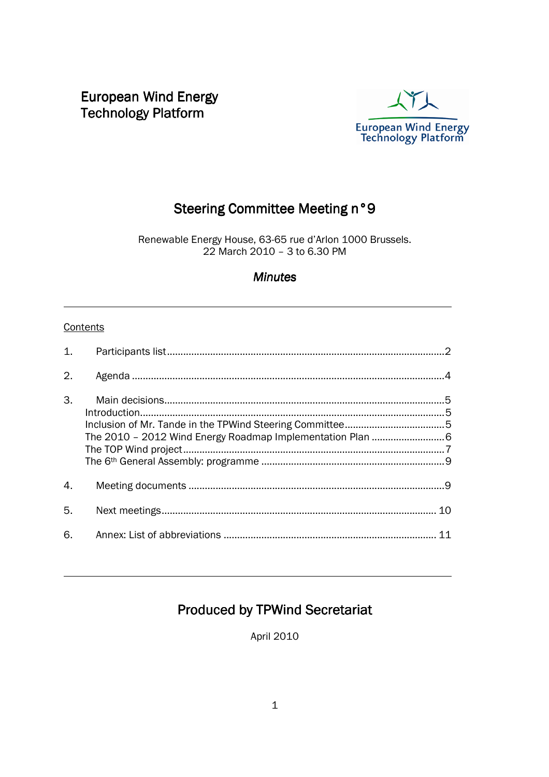European Wind Energy **Technology Platform** 



# Steering Committee Meeting n°9

Renewable Energy House, 63-65 rue d'Arlon 1000 Brussels. 22 March 2010 – 3 to 6.30 PM

#### **Minutes**

#### **Contents**

l

 $\overline{\phantom{0}}$ 

| 1.               |    |
|------------------|----|
| 2.               |    |
| 3.               |    |
| $\overline{4}$ . |    |
| 5.               |    |
| 6.               | 11 |

# Produced by TPWind Secretariat

April 2010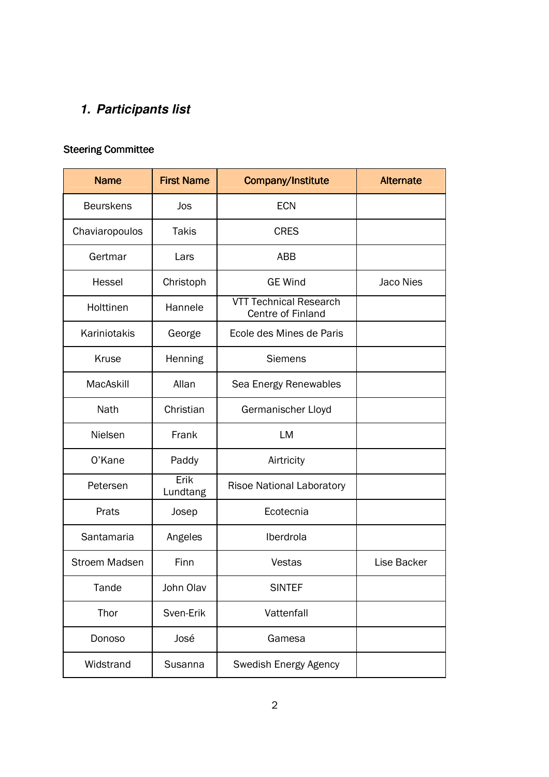# **1. Participants list**

# Steering Committee

| <b>Name</b>      | <b>First Name</b> | Company/Institute                                  | <b>Alternate</b> |
|------------------|-------------------|----------------------------------------------------|------------------|
| <b>Beurskens</b> | Jos               | <b>ECN</b>                                         |                  |
| Chaviaropoulos   | <b>Takis</b>      | <b>CRES</b>                                        |                  |
| Gertmar          | Lars              | <b>ABB</b>                                         |                  |
| <b>Hessel</b>    | Christoph         | <b>GE Wind</b>                                     | Jaco Nies        |
| Holttinen        | Hannele           | <b>VTT Technical Research</b><br>Centre of Finland |                  |
| Kariniotakis     | George            | Ecole des Mines de Paris                           |                  |
| Kruse            | Henning           | <b>Siemens</b>                                     |                  |
| MacAskill        | Allan             | Sea Energy Renewables                              |                  |
| Nath             | Christian         | Germanischer Lloyd                                 |                  |
| Nielsen          | Frank             | LM                                                 |                  |
| O'Kane           | Paddy             | Airtricity                                         |                  |
| Petersen         | Erik<br>Lundtang  | <b>Risoe National Laboratory</b>                   |                  |
| Prats            | Josep             | Ecotecnia                                          |                  |
| Santamaria       | Angeles           | Iberdrola                                          |                  |
| Stroem Madsen    | Finn              | <b>Vestas</b>                                      | Lise Backer      |
| Tande            | John Olav         | <b>SINTEF</b>                                      |                  |
| Thor             | Sven-Erik         | Vattenfall                                         |                  |
| Donoso           | José              | Gamesa                                             |                  |
| Widstrand        | Susanna           | Swedish Energy Agency                              |                  |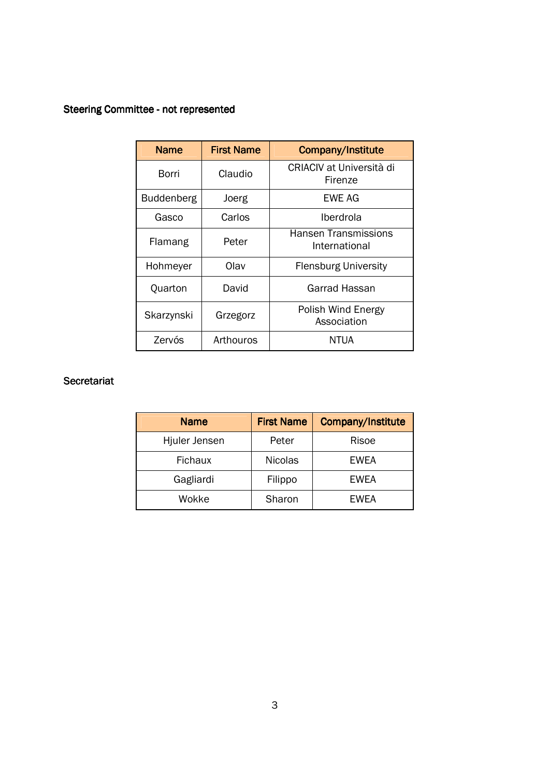### Steering Committee - not represented

| <b>Name</b>       | <b>First Name</b> | <b>Company/Institute</b>                     |
|-------------------|-------------------|----------------------------------------------|
| Borri             | Claudio           | CRIACIV at Università di<br><b>Firenze</b>   |
| <b>Buddenberg</b> | Joerg             | EWE AG                                       |
| Gasco             | Carlos            | Iberdrola                                    |
| Flamang           | Peter             | <b>Hansen Transmissions</b><br>International |
| Hohmeyer          | Olav              | <b>Flensburg University</b>                  |
| Quarton           | David             | Garrad Hassan                                |
| Skarzynski        | Grzegorz          | Polish Wind Energy<br>Association            |
| Zervós            | Arthouros         | NTUA                                         |

#### **Secretariat**

| <b>Name</b>    | <b>First Name</b> | Company/Institute |
|----------------|-------------------|-------------------|
| Hjuler Jensen  | Peter             | Risoe             |
| <b>Fichaux</b> | <b>Nicolas</b>    | <b>EWEA</b>       |
| Gagliardi      | Filippo           | EWEA              |
| Wokke          | Sharon            | <b>EWEA</b>       |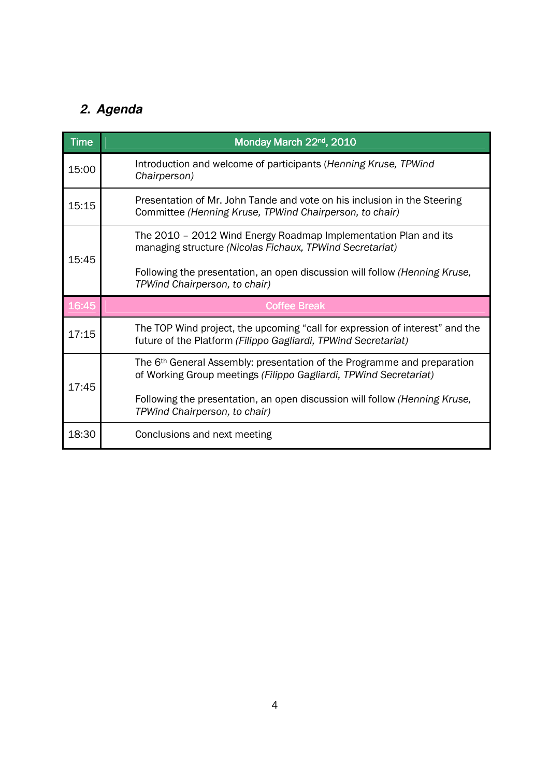# **2. Agenda**

| <b>Time</b> | Monday March 22nd, 2010                                                                                                                                  |  |
|-------------|----------------------------------------------------------------------------------------------------------------------------------------------------------|--|
| 15:00       | Introduction and welcome of participants (Henning Kruse, TPWind<br>Chairperson)                                                                          |  |
| 15:15       | Presentation of Mr. John Tande and vote on his inclusion in the Steering<br>Committee (Henning Kruse, TPWind Chairperson, to chair)                      |  |
| 15:45       | The 2010 - 2012 Wind Energy Roadmap Implementation Plan and its<br>managing structure (Nicolas Fichaux, TPWind Secretariat)                              |  |
|             | Following the presentation, an open discussion will follow (Henning Kruse,<br>TPWind Chairperson, to chair)                                              |  |
| 16:45       | <b>Coffee Break</b>                                                                                                                                      |  |
| 17:15       | The TOP Wind project, the upcoming "call for expression of interest" and the<br>future of the Platform (Filippo Gagliardi, TPWind Secretariat)           |  |
| 17:45       | The 6 <sup>th</sup> General Assembly: presentation of the Programme and preparation<br>of Working Group meetings (Filippo Gagliardi, TPWind Secretariat) |  |
|             | Following the presentation, an open discussion will follow (Henning Kruse,<br>TPWind Chairperson, to chair)                                              |  |
| 18:30       | Conclusions and next meeting                                                                                                                             |  |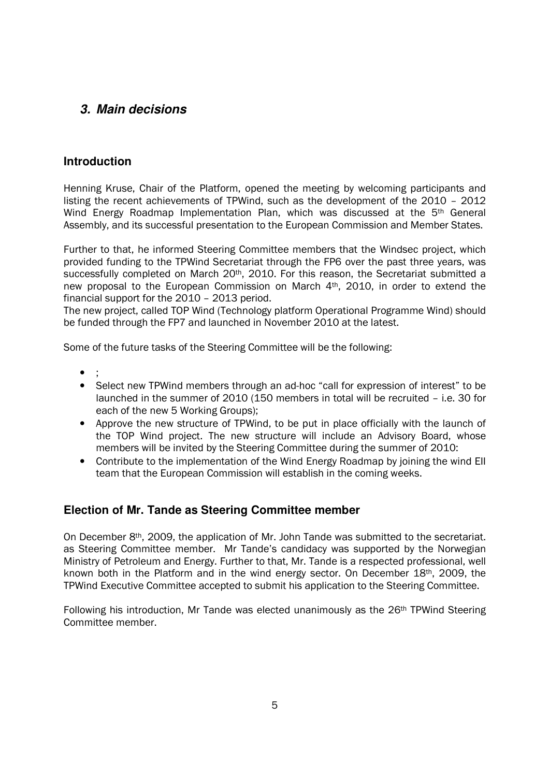### **3. Main decisions**

#### **Introduction**

Henning Kruse, Chair of the Platform, opened the meeting by welcoming participants and listing the recent achievements of TPWind, such as the development of the 2010 – 2012 Wind Energy Roadmap Implementation Plan, which was discussed at the 5<sup>th</sup> General Assembly, and its successful presentation to the European Commission and Member States.

Further to that, he informed Steering Committee members that the Windsec project, which provided funding to the TPWind Secretariat through the FP6 over the past three years, was successfully completed on March 20<sup>th</sup>, 2010. For this reason, the Secretariat submitted a new proposal to the European Commission on March 4<sup>th</sup>, 2010, in order to extend the financial support for the 2010 – 2013 period.

The new project, called TOP Wind (Technology platform Operational Programme Wind) should be funded through the FP7 and launched in November 2010 at the latest.

Some of the future tasks of the Steering Committee will be the following:

- ;
- Select new TPWind members through an ad-hoc "call for expression of interest" to be launched in the summer of 2010 (150 members in total will be recruited – i.e. 30 for each of the new 5 Working Groups);
- Approve the new structure of TPWind, to be put in place officially with the launch of the TOP Wind project. The new structure will include an Advisory Board, whose members will be invited by the Steering Committee during the summer of 2010:
- Contribute to the implementation of the Wind Energy Roadmap by joining the wind EII team that the European Commission will establish in the coming weeks.

#### **Election of Mr. Tande as Steering Committee member**

On December 8th, 2009, the application of Mr. John Tande was submitted to the secretariat. as Steering Committee member. Mr Tande's candidacy was supported by the Norwegian Ministry of Petroleum and Energy. Further to that, Mr. Tande is a respected professional, well known both in the Platform and in the wind energy sector. On December 18th, 2009, the TPWind Executive Committee accepted to submit his application to the Steering Committee.

Following his introduction, Mr Tande was elected unanimously as the 26<sup>th</sup> TPWind Steering Committee member.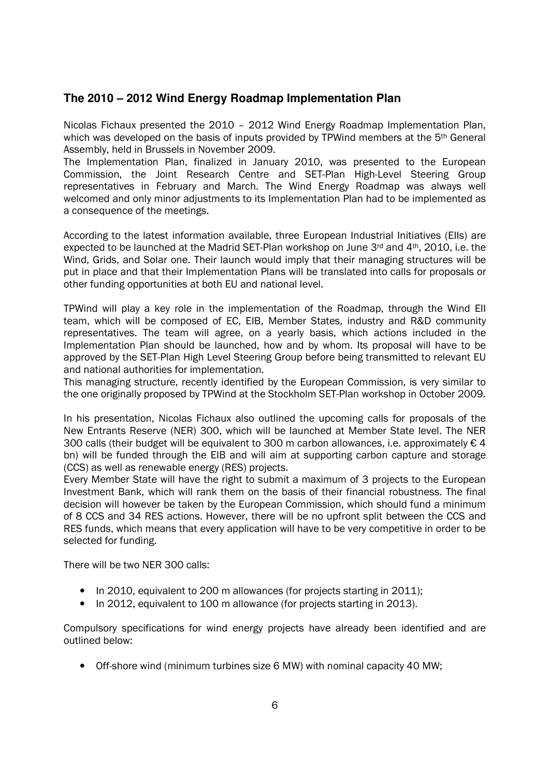#### **The 2010 – 2012 Wind Energy Roadmap Implementation Plan**

Nicolas Fichaux presented the 2010 – 2012 Wind Energy Roadmap Implementation Plan, which was developed on the basis of inputs provided by TPWind members at the 5<sup>th</sup> General Assembly, held in Brussels in November 2009.

The Implementation Plan, finalized in January 2010, was presented to the European Commission, the Joint Research Centre and SET-Plan High-Level Steering Group representatives in February and March. The Wind Energy Roadmap was always well welcomed and only minor adjustments to its Implementation Plan had to be implemented as a consequence of the meetings.

According to the latest information available, three European Industrial Initiatives (EIIs) are expected to be launched at the Madrid SET-Plan workshop on June 3rd and 4<sup>th</sup>, 2010, i.e. the Wind, Grids, and Solar one. Their launch would imply that their managing structures will be put in place and that their Implementation Plans will be translated into calls for proposals or other funding opportunities at both EU and national level.

TPWind will play a key role in the implementation of the Roadmap, through the Wind EII team, which will be composed of EC, EIB, Member States, industry and R&D community representatives. The team will agree, on a yearly basis, which actions included in the Implementation Plan should be launched, how and by whom. Its proposal will have to be approved by the SET-Plan High Level Steering Group before being transmitted to relevant EU and national authorities for implementation.

This managing structure, recently identified by the European Commission, is very similar to the one originally proposed by TPWind at the Stockholm SET-Plan workshop in October 2009.

In his presentation, Nicolas Fichaux also outlined the upcoming calls for proposals of the New Entrants Reserve (NER) 300, which will be launched at Member State level. The NER 300 calls (their budget will be equivalent to 300 m carbon allowances, i.e. approximately  $\epsilon$  4 bn) will be funded through the EIB and will aim at supporting carbon capture and storage (CCS) as well as renewable energy (RES) projects.

Every Member State will have the right to submit a maximum of 3 projects to the European Investment Bank, which will rank them on the basis of their financial robustness. The final decision will however be taken by the European Commission, which should fund a minimum of 8 CCS and 34 RES actions. However, there will be no upfront split between the CCS and RES funds, which means that every application will have to be very competitive in order to be selected for funding.

There will be two NER 300 calls:

- In 2010, equivalent to 200 m allowances (for projects starting in 2011);
- In 2012, equivalent to 100 m allowance (for projects starting in 2013).

Compulsory specifications for wind energy projects have already been identified and are outlined below:

• Off-shore wind (minimum turbines size 6 MW) with nominal capacity 40 MW;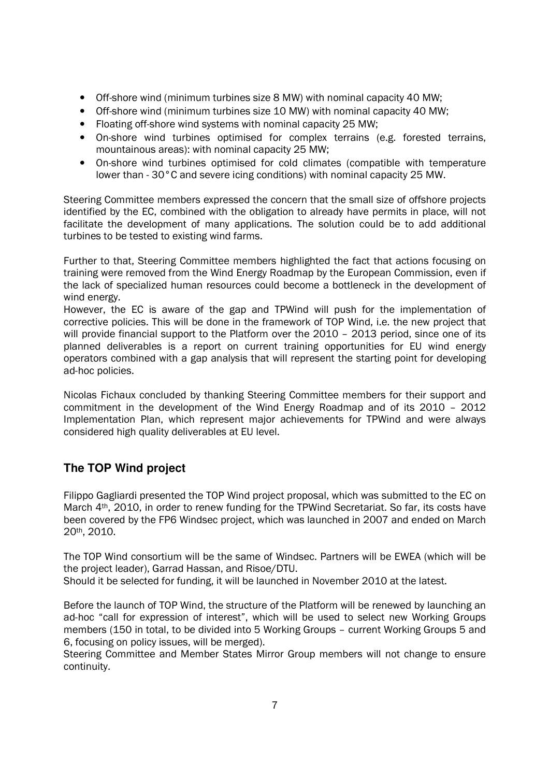- Off-shore wind (minimum turbines size 8 MW) with nominal capacity 40 MW;
- Off-shore wind (minimum turbines size 10 MW) with nominal capacity 40 MW;
- Floating off-shore wind systems with nominal capacity 25 MW;
- On-shore wind turbines optimised for complex terrains (e.g. forested terrains, mountainous areas): with nominal capacity 25 MW;
- On-shore wind turbines optimised for cold climates (compatible with temperature lower than - 30°C and severe icing conditions) with nominal capacity 25 MW.

Steering Committee members expressed the concern that the small size of offshore projects identified by the EC, combined with the obligation to already have permits in place, will not facilitate the development of many applications. The solution could be to add additional turbines to be tested to existing wind farms.

Further to that, Steering Committee members highlighted the fact that actions focusing on training were removed from the Wind Energy Roadmap by the European Commission, even if the lack of specialized human resources could become a bottleneck in the development of wind energy.

However, the EC is aware of the gap and TPWind will push for the implementation of corrective policies. This will be done in the framework of TOP Wind, i.e. the new project that will provide financial support to the Platform over the 2010 – 2013 period, since one of its planned deliverables is a report on current training opportunities for EU wind energy operators combined with a gap analysis that will represent the starting point for developing ad-hoc policies.

Nicolas Fichaux concluded by thanking Steering Committee members for their support and commitment in the development of the Wind Energy Roadmap and of its 2010 – 2012 Implementation Plan, which represent major achievements for TPWind and were always considered high quality deliverables at EU level.

### **The TOP Wind project**

Filippo Gagliardi presented the TOP Wind project proposal, which was submitted to the EC on March 4th, 2010, in order to renew funding for the TPWind Secretariat. So far, its costs have been covered by the FP6 Windsec project, which was launched in 2007 and ended on March 20th, 2010.

The TOP Wind consortium will be the same of Windsec. Partners will be EWEA (which will be the project leader), Garrad Hassan, and Risoe/DTU.

Should it be selected for funding, it will be launched in November 2010 at the latest.

Before the launch of TOP Wind, the structure of the Platform will be renewed by launching an ad-hoc "call for expression of interest", which will be used to select new Working Groups members (150 in total, to be divided into 5 Working Groups – current Working Groups 5 and 6, focusing on policy issues, will be merged).

Steering Committee and Member States Mirror Group members will not change to ensure continuity.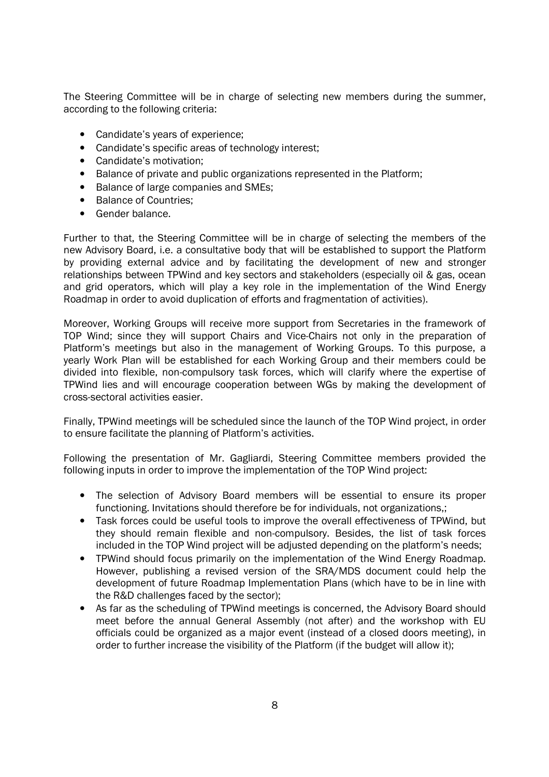The Steering Committee will be in charge of selecting new members during the summer, according to the following criteria:

- Candidate's years of experience;
- Candidate's specific areas of technology interest;
- Candidate's motivation;
- Balance of private and public organizations represented in the Platform;
- Balance of large companies and SMEs;
- Balance of Countries:
- Gender balance.

Further to that, the Steering Committee will be in charge of selecting the members of the new Advisory Board, i.e. a consultative body that will be established to support the Platform by providing external advice and by facilitating the development of new and stronger relationships between TPWind and key sectors and stakeholders (especially oil & gas, ocean and grid operators, which will play a key role in the implementation of the Wind Energy Roadmap in order to avoid duplication of efforts and fragmentation of activities).

Moreover, Working Groups will receive more support from Secretaries in the framework of TOP Wind; since they will support Chairs and Vice-Chairs not only in the preparation of Platform's meetings but also in the management of Working Groups. To this purpose, a yearly Work Plan will be established for each Working Group and their members could be divided into flexible, non-compulsory task forces, which will clarify where the expertise of TPWind lies and will encourage cooperation between WGs by making the development of cross-sectoral activities easier.

Finally, TPWind meetings will be scheduled since the launch of the TOP Wind project, in order to ensure facilitate the planning of Platform's activities.

Following the presentation of Mr. Gagliardi, Steering Committee members provided the following inputs in order to improve the implementation of the TOP Wind project:

- The selection of Advisory Board members will be essential to ensure its proper functioning. Invitations should therefore be for individuals, not organizations,;
- Task forces could be useful tools to improve the overall effectiveness of TPWind, but they should remain flexible and non-compulsory. Besides, the list of task forces included in the TOP Wind project will be adjusted depending on the platform's needs;
- TPWind should focus primarily on the implementation of the Wind Energy Roadmap. However, publishing a revised version of the SRA/MDS document could help the development of future Roadmap Implementation Plans (which have to be in line with the R&D challenges faced by the sector);
- As far as the scheduling of TPWind meetings is concerned, the Advisory Board should meet before the annual General Assembly (not after) and the workshop with EU officials could be organized as a major event (instead of a closed doors meeting), in order to further increase the visibility of the Platform (if the budget will allow it);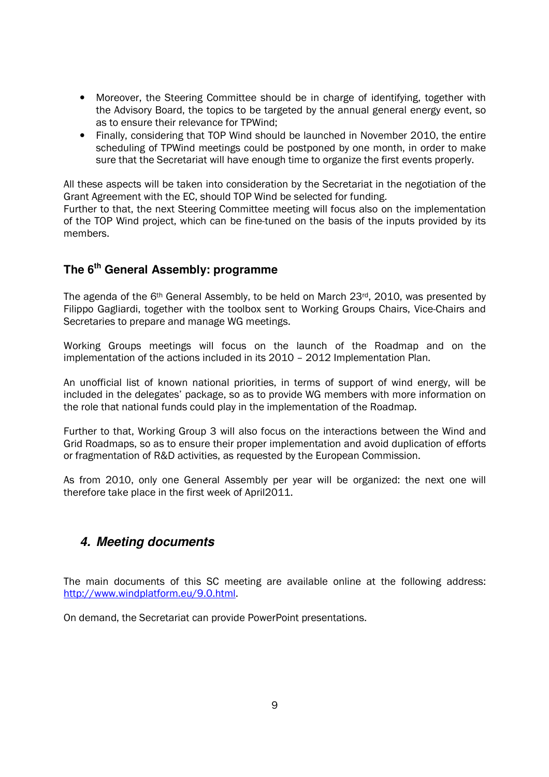- Moreover, the Steering Committee should be in charge of identifying, together with the Advisory Board, the topics to be targeted by the annual general energy event, so as to ensure their relevance for TPWind;
- Finally, considering that TOP Wind should be launched in November 2010, the entire scheduling of TPWind meetings could be postponed by one month, in order to make sure that the Secretariat will have enough time to organize the first events properly.

All these aspects will be taken into consideration by the Secretariat in the negotiation of the Grant Agreement with the EC, should TOP Wind be selected for funding.

Further to that, the next Steering Committee meeting will focus also on the implementation of the TOP Wind project, which can be fine-tuned on the basis of the inputs provided by its members.

## **The 6th General Assembly: programme**

The agenda of the 6<sup>th</sup> General Assembly, to be held on March 23<sup>rd</sup>, 2010, was presented by Filippo Gagliardi, together with the toolbox sent to Working Groups Chairs, Vice-Chairs and Secretaries to prepare and manage WG meetings.

Working Groups meetings will focus on the launch of the Roadmap and on the implementation of the actions included in its 2010 – 2012 Implementation Plan.

An unofficial list of known national priorities, in terms of support of wind energy, will be included in the delegates' package, so as to provide WG members with more information on the role that national funds could play in the implementation of the Roadmap.

Further to that, Working Group 3 will also focus on the interactions between the Wind and Grid Roadmaps, so as to ensure their proper implementation and avoid duplication of efforts or fragmentation of R&D activities, as requested by the European Commission.

As from 2010, only one General Assembly per year will be organized: the next one will therefore take place in the first week of April2011.

### **4. Meeting documents**

The main documents of this SC meeting are available online at the following address: http://www.windplatform.eu/9.0.html.

On demand, the Secretariat can provide PowerPoint presentations.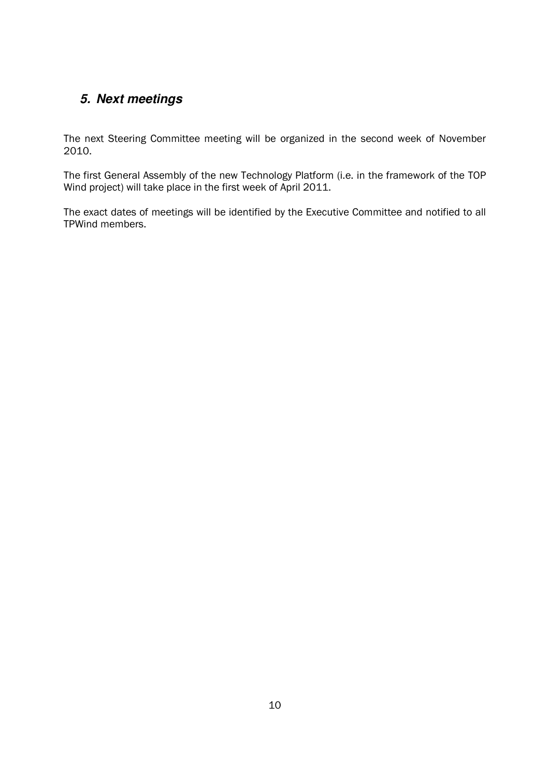# **5. Next meetings**

The next Steering Committee meeting will be organized in the second week of November 2010.

The first General Assembly of the new Technology Platform (i.e. in the framework of the TOP Wind project) will take place in the first week of April 2011.

The exact dates of meetings will be identified by the Executive Committee and notified to all TPWind members.